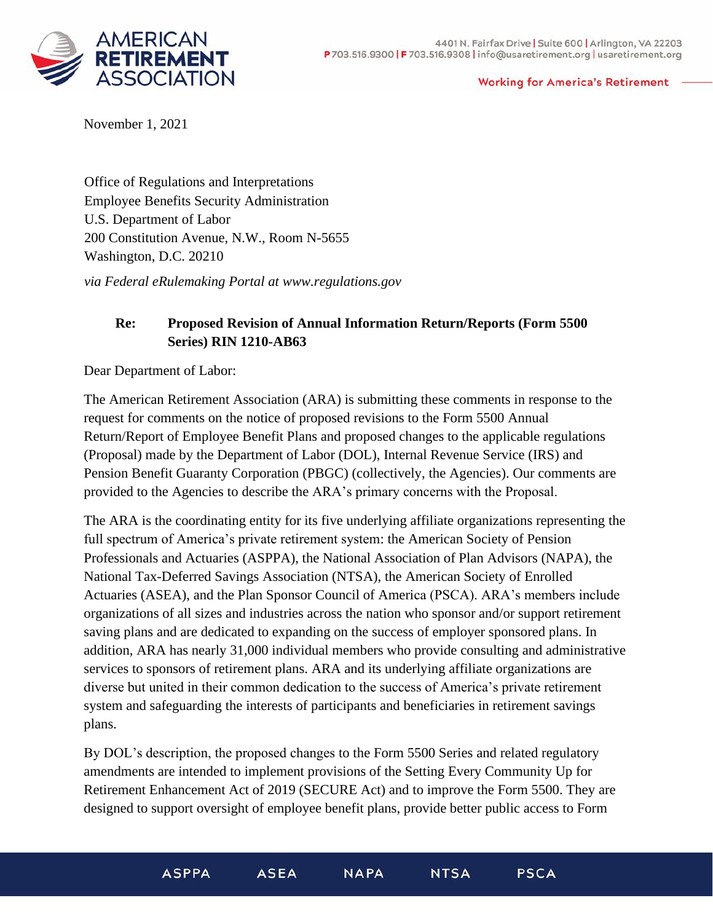

**Working for America's Retirement** 

November 1, 2021

Office of Regulations and Interpretations Employee Benefits Security Administration U.S. Department of Labor 200 Constitution Avenue, N.W., Room N-5655 Washington, D.C. 20210

*via Federal eRulemaking Portal at www.regulations.gov*

# **Re: Proposed Revision of Annual Information Return/Reports (Form 5500 Series) RIN 1210-AB63**

Dear Department of Labor:

The American Retirement Association (ARA) is submitting these comments in response to the request for comments on the notice of proposed revisions to the Form 5500 Annual Return/Report of Employee Benefit Plans and proposed changes to the applicable regulations (Proposal) made by the Department of Labor (DOL), Internal Revenue Service (IRS) and Pension Benefit Guaranty Corporation (PBGC) (collectively, the Agencies). Our comments are provided to the Agencies to describe the ARA's primary concerns with the Proposal.

The ARA is the coordinating entity for its five underlying affiliate organizations representing the full spectrum of America's private retirement system: the American Society of Pension Professionals and Actuaries (ASPPA), the National Association of Plan Advisors (NAPA), the National Tax-Deferred Savings Association (NTSA), the American Society of Enrolled Actuaries (ASEA), and the Plan Sponsor Council of America (PSCA). ARA's members include organizations of all sizes and industries across the nation who sponsor and/or support retirement saving plans and are dedicated to expanding on the success of employer sponsored plans. In addition, ARA has nearly 31,000 individual members who provide consulting and administrative services to sponsors of retirement plans. ARA and its underlying affiliate organizations are diverse but united in their common dedication to the success of America's private retirement system and safeguarding the interests of participants and beneficiaries in retirement savings plans.

By DOL's description, the proposed changes to the Form 5500 Series and related regulatory amendments are intended to implement provisions of the Setting Every Community Up for Retirement Enhancement Act of 2019 (SECURE Act) and to improve the Form 5500. They are designed to support oversight of employee benefit plans, provide better public access to Form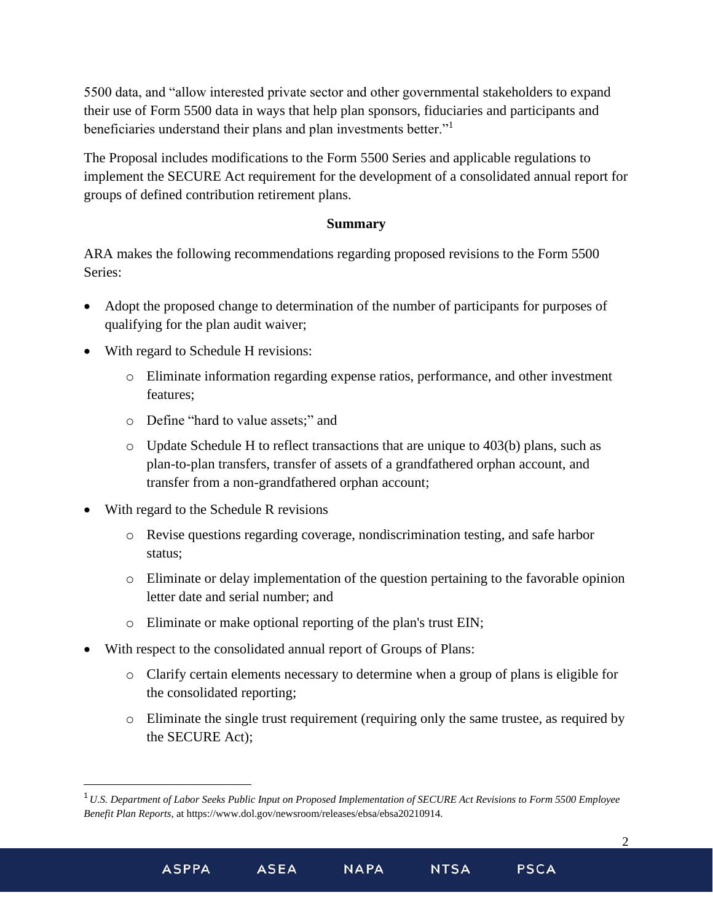5500 data, and "allow interested private sector and other governmental stakeholders to expand their use of Form 5500 data in ways that help plan sponsors, fiduciaries and participants and beneficiaries understand their plans and plan investments better."<sup>1</sup>

The Proposal includes modifications to the Form 5500 Series and applicable regulations to implement the SECURE Act requirement for the development of a consolidated annual report for groups of defined contribution retirement plans.

## **Summary**

ARA makes the following recommendations regarding proposed revisions to the Form 5500 Series:

- Adopt the proposed change to determination of the number of participants for purposes of qualifying for the plan audit waiver;
- With regard to Schedule H revisions:
	- o Eliminate information regarding expense ratios, performance, and other investment features;
	- o Define "hard to value assets;" and
	- o Update Schedule H to reflect transactions that are unique to 403(b) plans, such as plan-to-plan transfers, transfer of assets of a grandfathered orphan account, and transfer from a non-grandfathered orphan account;
- With regard to the Schedule R revisions

**ASPPA** 

- o Revise questions regarding coverage, nondiscrimination testing, and safe harbor status;
- o Eliminate or delay implementation of the question pertaining to the favorable opinion letter date and serial number; and
- o Eliminate or make optional reporting of the plan's trust EIN;
- With respect to the consolidated annual report of Groups of Plans:

**ASEA** 

- o Clarify certain elements necessary to determine when a group of plans is eligible for the consolidated reporting;
- o Eliminate the single trust requirement (requiring only the same trustee, as required by the SECURE Act);

**NAPA** 

**NTSA** 

**PSCA** 

<sup>1</sup> *U.S. Department of Labor Seeks Public Input on Proposed Implementation of SECURE Act Revisions to Form 5500 Employee Benefit Plan Reports,* at https://www.dol.gov/newsroom/releases/ebsa/ebsa20210914.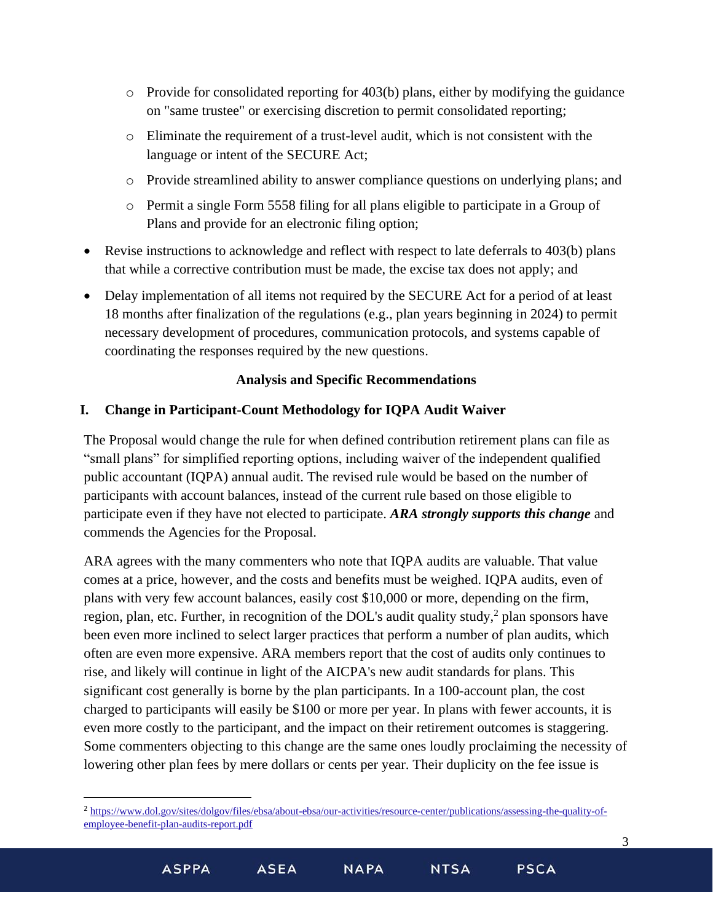- o Provide for consolidated reporting for 403(b) plans, either by modifying the guidance on "same trustee" or exercising discretion to permit consolidated reporting;
- o Eliminate the requirement of a trust-level audit, which is not consistent with the language or intent of the SECURE Act;
- o Provide streamlined ability to answer compliance questions on underlying plans; and
- o Permit a single Form 5558 filing for all plans eligible to participate in a Group of Plans and provide for an electronic filing option;
- Revise instructions to acknowledge and reflect with respect to late deferrals to 403(b) plans that while a corrective contribution must be made, the excise tax does not apply; and
- Delay implementation of all items not required by the SECURE Act for a period of at least 18 months after finalization of the regulations (e.g., plan years beginning in 2024) to permit necessary development of procedures, communication protocols, and systems capable of coordinating the responses required by the new questions.

## **Analysis and Specific Recommendations**

## **I. Change in Participant-Count Methodology for IQPA Audit Waiver**

The Proposal would change the rule for when defined contribution retirement plans can file as "small plans" for simplified reporting options, including waiver of the independent qualified public accountant (IQPA) annual audit. The revised rule would be based on the number of participants with account balances, instead of the current rule based on those eligible to participate even if they have not elected to participate. *ARA strongly supports this change* and commends the Agencies for the Proposal.

ARA agrees with the many commenters who note that IQPA audits are valuable. That value comes at a price, however, and the costs and benefits must be weighed. IQPA audits, even of plans with very few account balances, easily cost \$10,000 or more, depending on the firm, region, plan, etc. Further, in recognition of the DOL's audit quality study, $2$  plan sponsors have been even more inclined to select larger practices that perform a number of plan audits, which often are even more expensive. ARA members report that the cost of audits only continues to rise, and likely will continue in light of the AICPA's new audit standards for plans. This significant cost generally is borne by the plan participants. In a 100-account plan, the cost charged to participants will easily be \$100 or more per year. In plans with fewer accounts, it is even more costly to the participant, and the impact on their retirement outcomes is staggering. Some commenters objecting to this change are the same ones loudly proclaiming the necessity of lowering other plan fees by mere dollars or cents per year. Their duplicity on the fee issue is

<sup>&</sup>lt;sup>2</sup> [https://www.dol.gov/sites/dolgov/files/ebsa/about-ebsa/our-activities/resource-center/publications/assessing-the-quality-of](https://www.dol.gov/sites/dolgov/files/ebsa/about-ebsa/our-activities/resource-center/publications/assessing-the-quality-of-employee-benefit-plan-audits-report.pdf)[employee-benefit-plan-audits-report.pdf](https://www.dol.gov/sites/dolgov/files/ebsa/about-ebsa/our-activities/resource-center/publications/assessing-the-quality-of-employee-benefit-plan-audits-report.pdf)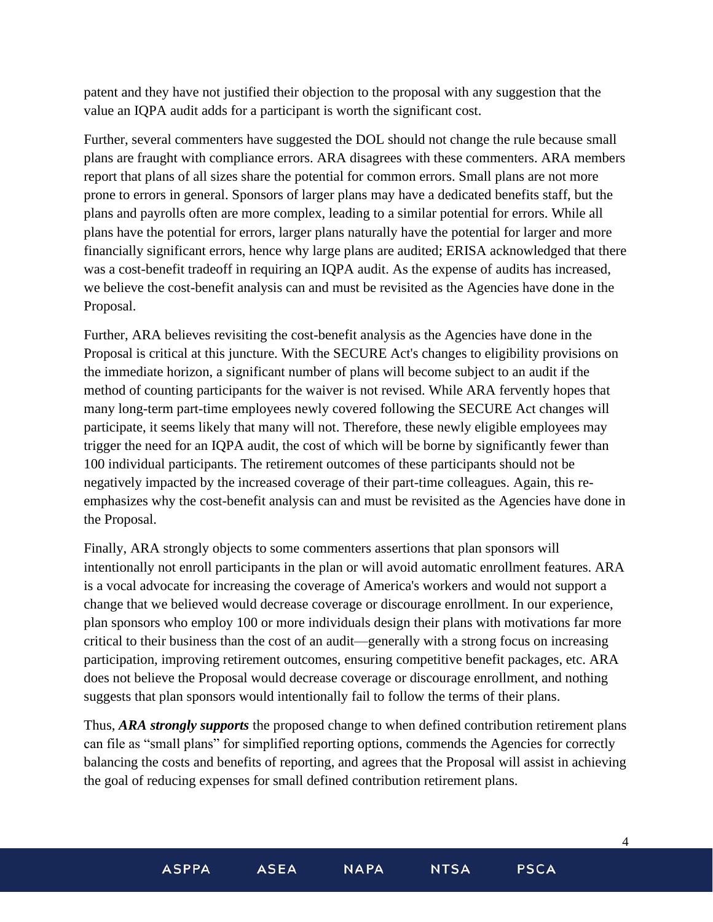patent and they have not justified their objection to the proposal with any suggestion that the value an IQPA audit adds for a participant is worth the significant cost.

Further, several commenters have suggested the DOL should not change the rule because small plans are fraught with compliance errors. ARA disagrees with these commenters. ARA members report that plans of all sizes share the potential for common errors. Small plans are not more prone to errors in general. Sponsors of larger plans may have a dedicated benefits staff, but the plans and payrolls often are more complex, leading to a similar potential for errors. While all plans have the potential for errors, larger plans naturally have the potential for larger and more financially significant errors, hence why large plans are audited; ERISA acknowledged that there was a cost-benefit tradeoff in requiring an IQPA audit. As the expense of audits has increased, we believe the cost-benefit analysis can and must be revisited as the Agencies have done in the Proposal.

Further, ARA believes revisiting the cost-benefit analysis as the Agencies have done in the Proposal is critical at this juncture. With the SECURE Act's changes to eligibility provisions on the immediate horizon, a significant number of plans will become subject to an audit if the method of counting participants for the waiver is not revised. While ARA fervently hopes that many long-term part-time employees newly covered following the SECURE Act changes will participate, it seems likely that many will not. Therefore, these newly eligible employees may trigger the need for an IQPA audit, the cost of which will be borne by significantly fewer than 100 individual participants. The retirement outcomes of these participants should not be negatively impacted by the increased coverage of their part-time colleagues. Again, this reemphasizes why the cost-benefit analysis can and must be revisited as the Agencies have done in the Proposal.

Finally, ARA strongly objects to some commenters assertions that plan sponsors will intentionally not enroll participants in the plan or will avoid automatic enrollment features. ARA is a vocal advocate for increasing the coverage of America's workers and would not support a change that we believed would decrease coverage or discourage enrollment. In our experience, plan sponsors who employ 100 or more individuals design their plans with motivations far more critical to their business than the cost of an audit—generally with a strong focus on increasing participation, improving retirement outcomes, ensuring competitive benefit packages, etc. ARA does not believe the Proposal would decrease coverage or discourage enrollment, and nothing suggests that plan sponsors would intentionally fail to follow the terms of their plans.

Thus, *ARA strongly supports* the proposed change to when defined contribution retirement plans can file as "small plans" for simplified reporting options, commends the Agencies for correctly balancing the costs and benefits of reporting, and agrees that the Proposal will assist in achieving the goal of reducing expenses for small defined contribution retirement plans.

4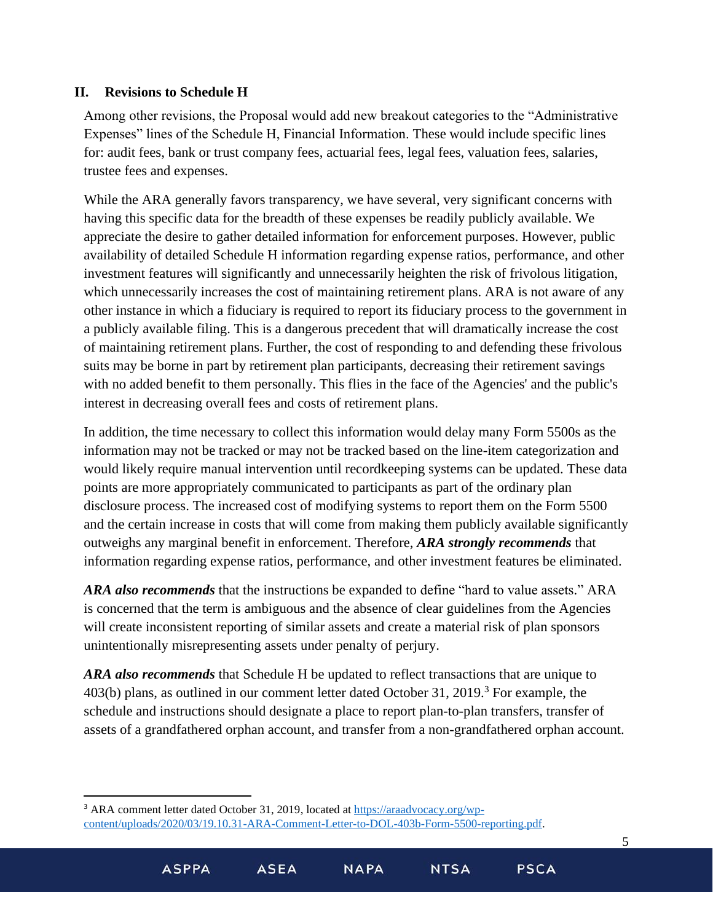## **II. Revisions to Schedule H**

Among other revisions, the Proposal would add new breakout categories to the "Administrative Expenses" lines of the Schedule H, Financial Information. These would include specific lines for: audit fees, bank or trust company fees, actuarial fees, legal fees, valuation fees, salaries, trustee fees and expenses.

While the ARA generally favors transparency, we have several, very significant concerns with having this specific data for the breadth of these expenses be readily publicly available. We appreciate the desire to gather detailed information for enforcement purposes. However, public availability of detailed Schedule H information regarding expense ratios, performance, and other investment features will significantly and unnecessarily heighten the risk of frivolous litigation, which unnecessarily increases the cost of maintaining retirement plans. ARA is not aware of any other instance in which a fiduciary is required to report its fiduciary process to the government in a publicly available filing. This is a dangerous precedent that will dramatically increase the cost of maintaining retirement plans. Further, the cost of responding to and defending these frivolous suits may be borne in part by retirement plan participants, decreasing their retirement savings with no added benefit to them personally. This flies in the face of the Agencies' and the public's interest in decreasing overall fees and costs of retirement plans.

In addition, the time necessary to collect this information would delay many Form 5500s as the information may not be tracked or may not be tracked based on the line-item categorization and would likely require manual intervention until recordkeeping systems can be updated. These data points are more appropriately communicated to participants as part of the ordinary plan disclosure process. The increased cost of modifying systems to report them on the Form 5500 and the certain increase in costs that will come from making them publicly available significantly outweighs any marginal benefit in enforcement. Therefore, *ARA strongly recommends* that information regarding expense ratios, performance, and other investment features be eliminated.

*ARA also recommends* that the instructions be expanded to define "hard to value assets." ARA is concerned that the term is ambiguous and the absence of clear guidelines from the Agencies will create inconsistent reporting of similar assets and create a material risk of plan sponsors unintentionally misrepresenting assets under penalty of perjury.

*ARA also recommends* that Schedule H be updated to reflect transactions that are unique to  $403(b)$  plans, as outlined in our comment letter dated October 31, 2019.<sup>3</sup> For example, the schedule and instructions should designate a place to report plan-to-plan transfers, transfer of assets of a grandfathered orphan account, and transfer from a non-grandfathered orphan account.

**NTSA** 

**PSCA** 

5

<sup>3</sup> ARA comment letter dated October 31, 2019, located at [https://araadvocacy.org/wp](https://araadvocacy.org/wp-content/uploads/2020/03/19.10.31-ARA-Comment-Letter-to-DOL-403b-Form-5500-reporting.pdf)[content/uploads/2020/03/19.10.31-ARA-Comment-Letter-to-DOL-403b-Form-5500-reporting.pdf.](https://araadvocacy.org/wp-content/uploads/2020/03/19.10.31-ARA-Comment-Letter-to-DOL-403b-Form-5500-reporting.pdf)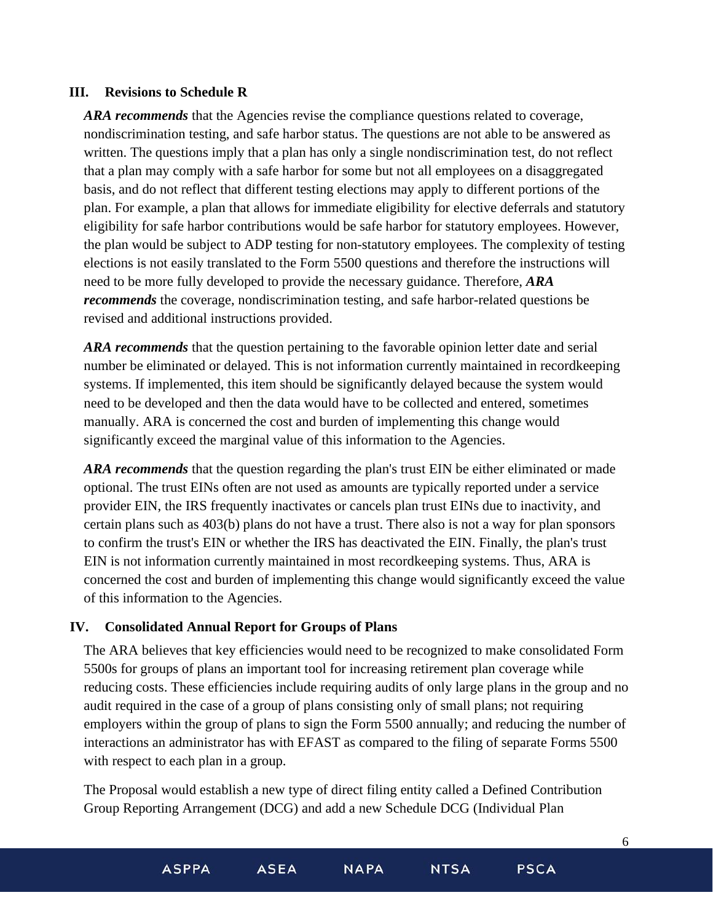#### **III. Revisions to Schedule R**

ARA *recommends* that the Agencies revise the compliance questions related to coverage, nondiscrimination testing, and safe harbor status. The questions are not able to be answered as written. The questions imply that a plan has only a single nondiscrimination test, do not reflect that a plan may comply with a safe harbor for some but not all employees on a disaggregated basis, and do not reflect that different testing elections may apply to different portions of the plan. For example, a plan that allows for immediate eligibility for elective deferrals and statutory eligibility for safe harbor contributions would be safe harbor for statutory employees. However, the plan would be subject to ADP testing for non-statutory employees. The complexity of testing elections is not easily translated to the Form 5500 questions and therefore the instructions will need to be more fully developed to provide the necessary guidance. Therefore, *ARA recommends* the coverage, nondiscrimination testing, and safe harbor-related questions be revised and additional instructions provided.

*ARA recommends* that the question pertaining to the favorable opinion letter date and serial number be eliminated or delayed. This is not information currently maintained in recordkeeping systems. If implemented, this item should be significantly delayed because the system would need to be developed and then the data would have to be collected and entered, sometimes manually. ARA is concerned the cost and burden of implementing this change would significantly exceed the marginal value of this information to the Agencies.

*ARA recommends* that the question regarding the plan's trust EIN be either eliminated or made optional. The trust EINs often are not used as amounts are typically reported under a service provider EIN, the IRS frequently inactivates or cancels plan trust EINs due to inactivity, and certain plans such as 403(b) plans do not have a trust. There also is not a way for plan sponsors to confirm the trust's EIN or whether the IRS has deactivated the EIN. Finally, the plan's trust EIN is not information currently maintained in most recordkeeping systems. Thus, ARA is concerned the cost and burden of implementing this change would significantly exceed the value of this information to the Agencies.

### **IV. Consolidated Annual Report for Groups of Plans**

The ARA believes that key efficiencies would need to be recognized to make consolidated Form 5500s for groups of plans an important tool for increasing retirement plan coverage while reducing costs. These efficiencies include requiring audits of only large plans in the group and no audit required in the case of a group of plans consisting only of small plans; not requiring employers within the group of plans to sign the Form 5500 annually; and reducing the number of interactions an administrator has with EFAST as compared to the filing of separate Forms 5500 with respect to each plan in a group.

The Proposal would establish a new type of direct filing entity called a Defined Contribution Group Reporting Arrangement (DCG) and add a new Schedule DCG (Individual Plan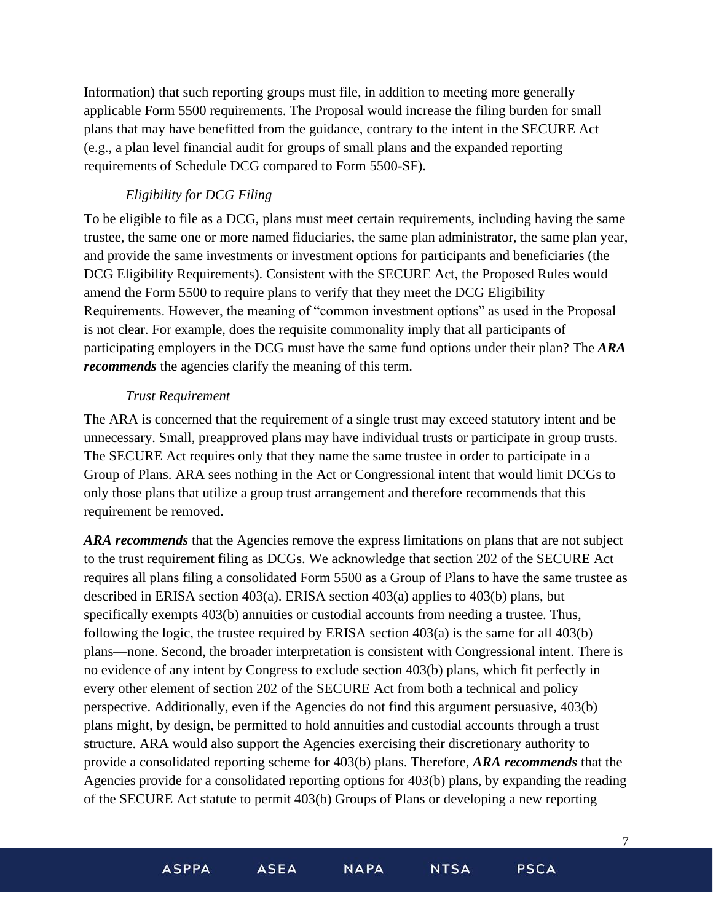Information) that such reporting groups must file, in addition to meeting more generally applicable Form 5500 requirements. The Proposal would increase the filing burden for small plans that may have benefitted from the guidance, contrary to the intent in the SECURE Act (e.g., a plan level financial audit for groups of small plans and the expanded reporting requirements of Schedule DCG compared to Form 5500-SF).

## *Eligibility for DCG Filing*

To be eligible to file as a DCG, plans must meet certain requirements, including having the same trustee, the same one or more named fiduciaries, the same plan administrator, the same plan year, and provide the same investments or investment options for participants and beneficiaries (the DCG Eligibility Requirements). Consistent with the SECURE Act, the Proposed Rules would amend the Form 5500 to require plans to verify that they meet the DCG Eligibility Requirements. However, the meaning of "common investment options" as used in the Proposal is not clear. For example, does the requisite commonality imply that all participants of participating employers in the DCG must have the same fund options under their plan? The *ARA recommends* the agencies clarify the meaning of this term.

#### *Trust Requirement*

The ARA is concerned that the requirement of a single trust may exceed statutory intent and be unnecessary. Small, preapproved plans may have individual trusts or participate in group trusts. The SECURE Act requires only that they name the same trustee in order to participate in a Group of Plans. ARA sees nothing in the Act or Congressional intent that would limit DCGs to only those plans that utilize a group trust arrangement and therefore recommends that this requirement be removed.

*ARA recommends* that the Agencies remove the express limitations on plans that are not subject to the trust requirement filing as DCGs. We acknowledge that section 202 of the SECURE Act requires all plans filing a consolidated Form 5500 as a Group of Plans to have the same trustee as described in ERISA section 403(a). ERISA section 403(a) applies to 403(b) plans, but specifically exempts 403(b) annuities or custodial accounts from needing a trustee. Thus, following the logic, the trustee required by ERISA section 403(a) is the same for all 403(b) plans—none. Second, the broader interpretation is consistent with Congressional intent. There is no evidence of any intent by Congress to exclude section 403(b) plans, which fit perfectly in every other element of section 202 of the SECURE Act from both a technical and policy perspective. Additionally, even if the Agencies do not find this argument persuasive, 403(b) plans might, by design, be permitted to hold annuities and custodial accounts through a trust structure. ARA would also support the Agencies exercising their discretionary authority to provide a consolidated reporting scheme for 403(b) plans. Therefore, *ARA recommends* that the Agencies provide for a consolidated reporting options for 403(b) plans, by expanding the reading of the SECURE Act statute to permit 403(b) Groups of Plans or developing a new reporting

7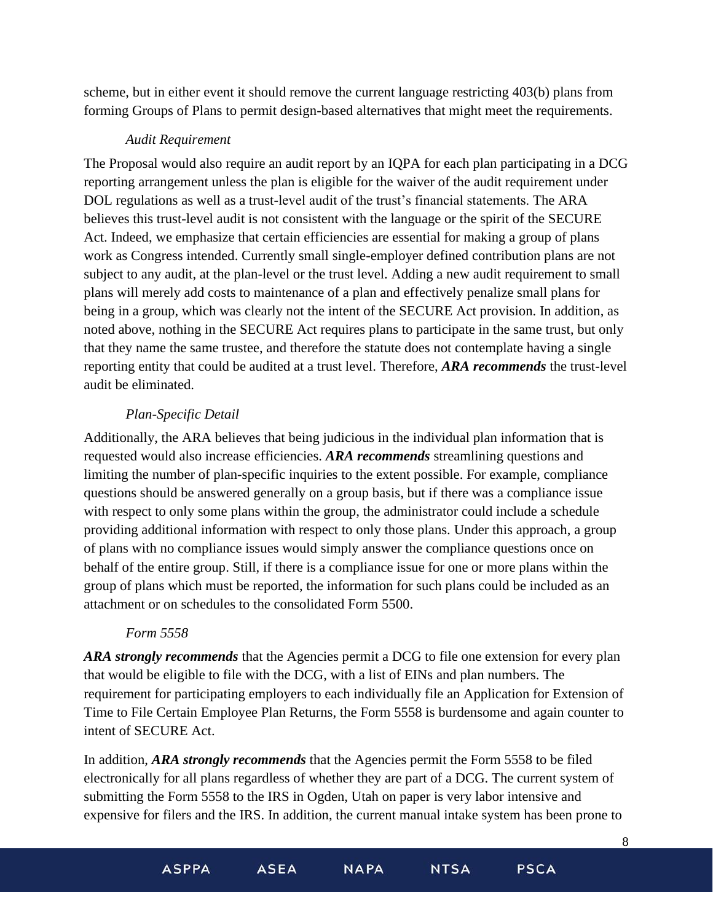scheme, but in either event it should remove the current language restricting 403(b) plans from forming Groups of Plans to permit design-based alternatives that might meet the requirements.

#### *Audit Requirement*

The Proposal would also require an audit report by an IQPA for each plan participating in a DCG reporting arrangement unless the plan is eligible for the waiver of the audit requirement under DOL regulations as well as a trust-level audit of the trust's financial statements. The ARA believes this trust-level audit is not consistent with the language or the spirit of the SECURE Act. Indeed, we emphasize that certain efficiencies are essential for making a group of plans work as Congress intended. Currently small single-employer defined contribution plans are not subject to any audit, at the plan-level or the trust level. Adding a new audit requirement to small plans will merely add costs to maintenance of a plan and effectively penalize small plans for being in a group, which was clearly not the intent of the SECURE Act provision. In addition, as noted above, nothing in the SECURE Act requires plans to participate in the same trust, but only that they name the same trustee, and therefore the statute does not contemplate having a single reporting entity that could be audited at a trust level. Therefore, *ARA recommends* the trust-level audit be eliminated.

## *Plan-Specific Detail*

Additionally, the ARA believes that being judicious in the individual plan information that is requested would also increase efficiencies. *ARA recommends* streamlining questions and limiting the number of plan-specific inquiries to the extent possible. For example, compliance questions should be answered generally on a group basis, but if there was a compliance issue with respect to only some plans within the group, the administrator could include a schedule providing additional information with respect to only those plans. Under this approach, a group of plans with no compliance issues would simply answer the compliance questions once on behalf of the entire group. Still, if there is a compliance issue for one or more plans within the group of plans which must be reported, the information for such plans could be included as an attachment or on schedules to the consolidated Form 5500.

### *Form 5558*

*ARA strongly recommends* that the Agencies permit a DCG to file one extension for every plan that would be eligible to file with the DCG, with a list of EINs and plan numbers. The requirement for participating employers to each individually file an Application for Extension of Time to File Certain Employee Plan Returns, the Form 5558 is burdensome and again counter to intent of SECURE Act.

In addition, *ARA strongly recommends* that the Agencies permit the Form 5558 to be filed electronically for all plans regardless of whether they are part of a DCG. The current system of submitting the Form 5558 to the IRS in Ogden, Utah on paper is very labor intensive and expensive for filers and the IRS. In addition, the current manual intake system has been prone to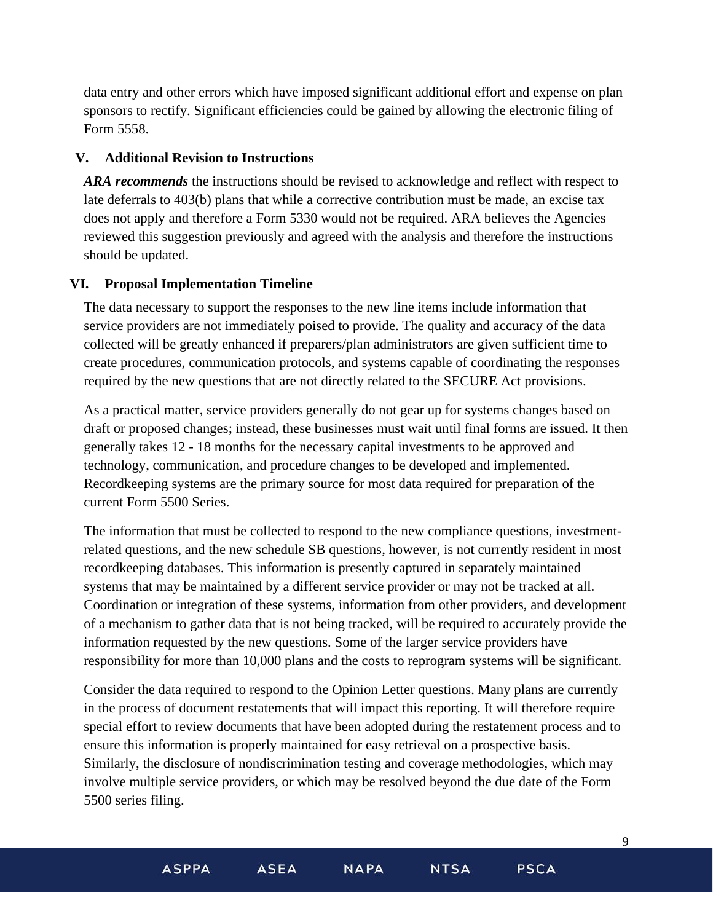data entry and other errors which have imposed significant additional effort and expense on plan sponsors to rectify. Significant efficiencies could be gained by allowing the electronic filing of Form 5558.

#### **V. Additional Revision to Instructions**

*ARA recommends* the instructions should be revised to acknowledge and reflect with respect to late deferrals to 403(b) plans that while a corrective contribution must be made, an excise tax does not apply and therefore a Form 5330 would not be required. ARA believes the Agencies reviewed this suggestion previously and agreed with the analysis and therefore the instructions should be updated.

#### **VI. Proposal Implementation Timeline**

The data necessary to support the responses to the new line items include information that service providers are not immediately poised to provide. The quality and accuracy of the data collected will be greatly enhanced if preparers/plan administrators are given sufficient time to create procedures, communication protocols, and systems capable of coordinating the responses required by the new questions that are not directly related to the SECURE Act provisions.

As a practical matter, service providers generally do not gear up for systems changes based on draft or proposed changes; instead, these businesses must wait until final forms are issued. It then generally takes 12 - 18 months for the necessary capital investments to be approved and technology, communication, and procedure changes to be developed and implemented. Recordkeeping systems are the primary source for most data required for preparation of the current Form 5500 Series.

The information that must be collected to respond to the new compliance questions, investmentrelated questions, and the new schedule SB questions, however, is not currently resident in most recordkeeping databases. This information is presently captured in separately maintained systems that may be maintained by a different service provider or may not be tracked at all. Coordination or integration of these systems, information from other providers, and development of a mechanism to gather data that is not being tracked, will be required to accurately provide the information requested by the new questions. Some of the larger service providers have responsibility for more than 10,000 plans and the costs to reprogram systems will be significant.

Consider the data required to respond to the Opinion Letter questions. Many plans are currently in the process of document restatements that will impact this reporting. It will therefore require special effort to review documents that have been adopted during the restatement process and to ensure this information is properly maintained for easy retrieval on a prospective basis. Similarly, the disclosure of nondiscrimination testing and coverage methodologies, which may involve multiple service providers, or which may be resolved beyond the due date of the Form 5500 series filing.